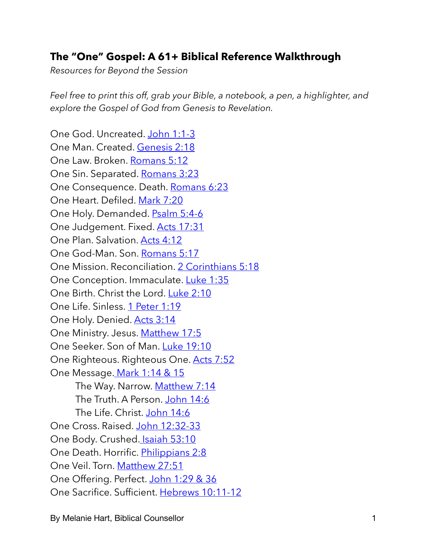## **The "One" Gospel: A 61+ Biblical Reference Walkthrough**

*Resources for Beyond the Session*

*Feel free to print this off, grab your Bible, a notebook, a pen, a highlighter, and explore the Gospel of God from Genesis to Revelation.* 

One God. Uncreated. [John 1:1-3](https://www.biblegateway.com/passage/?search=John%201%3A1-3&version=ESV) One Man. Created. [Genesis 2:18](https://www.biblegateway.com/passage/?search=Genesis+2%3A18&version=ESV) One Law. Broken. [Romans 5:12](https://www.biblegateway.com/passage/?search=Romans+5%3A12&version=ESV) One Sin. Separated. [Romans 3:23](https://www.biblegateway.com/passage/?search=Romans+3%3A23&version=ESV) One Consequence. Death. [Romans 6:23](https://www.biblegateway.com/passage/?search=Romans+6%3A23&version=ESV) One Heart. Defiled. [Mark 7:20](https://www.biblegateway.com/passage/?search=Mark+7%3A20&version=ESV) One Holy. Demanded. [Psalm 5:4-6](https://www.biblegateway.com/passage/?search=Psalm+5%3A4-6&version=ESV) One Judgement. Fixed. [Acts 17:31](https://www.biblegateway.com/passage/?search=Acts+17%3A31&version=ESV) One Plan. Salvation. [Acts 4:12](https://www.biblegateway.com/passage/?search=Acts+4%3A12&version=ESV) One God-Man. Son. [Romans 5:17](https://www.biblegateway.com/passage/?search=Romans+5%3A17&version=ESV) One Mission. Reconciliation. [2 Corinthians 5:18](https://www.biblegateway.com/passage/?search=2+Corinthians+5%3A18&version=ESV) One Conception. Immaculate. [Luke 1:35](https://www.biblegateway.com/passage/?search=Luke+1%3A35&version=ESV) One Birth. Christ the Lord. [Luke 2:10](https://www.biblegateway.com/passage/?search=Luke+2%3A10&version=ESV) One Life. Sinless. [1 Peter 1:19](https://www.biblegateway.com/passage/?search=1+Peter+1%3A19&version=ESV) One Holy. Denied. [Acts 3:14](https://www.biblegateway.com/passage/?search=Acts+3%3A14&version=ESV) One Ministry. Jesus. [Matthew 17:5](https://www.biblegateway.com/passage/?search=Matthew+17%3A5&version=ESV) One Seeker. Son of Man. [Luke 19:10](https://www.biblegateway.com/passage/?search=Luke+19%3A10&version=ESV) One Righteous. Righteous One. [Acts 7:52](https://www.biblegateway.com/passage/?search=Acts+7%3A52&version=ESV) One Message[. Mark 1:14 & 15](https://www.biblegateway.com/passage/?search=Mark+1%3A14-15&version=ESV) The Way. Narrow. [Matthew 7:14](https://www.biblegateway.com/passage/?search=Matthew+7%3A14&version=ESV) The Truth. A Person. [John 14:6](https://www.biblegateway.com/passage/?search=John+14%3A6&version=ESV) The Life. Christ. [John 14:6](https://www.biblegateway.com/passage/?search=John+14%3A6&version=ESV) One Cross. Raised. [John 12:32-33](https://www.biblegateway.com/passage/?search=John+12%3A32-33&version=ESV) One Body. Crushed[. Isaiah 53:10](https://www.biblegateway.com/passage/?search=Isaiah+53%3A10&version=ESV) One Death. Horrific. [Philippians 2:8](https://www.biblegateway.com/passage/?search=Philippians+2%3A8&version=ESV) One Veil. Torn. [Matthew 27:51](https://www.biblegateway.com/passage/?search=Matthew+27%3A51&version=ESV) One Offering. Perfect. [John 1:29 & 36](https://www.biblegateway.com/passage/?search=John+1%3A29%2C36&version=ESV) One Sacrifice. Sufficient. [Hebrews 10:11-12](https://www.biblegateway.com/passage/?search=Hebrews+10%3A11-12&version=ESV)